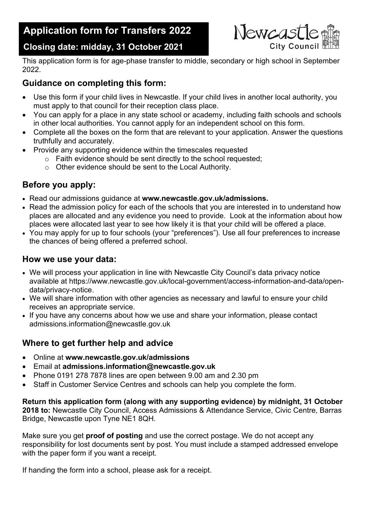# **Application form for Transfers 2022**



## **Closing date: midday, 31 October 2021**

This application form is for age-phase transfer to middle, secondary or high school in September 2022.

#### **Guidance on completing this form:**

- Use this form if your child lives in Newcastle. If your child lives in another local authority, you must apply to that council for their reception class place.
- You can apply for a place in any state school or academy, including faith schools and schools in other local authorities. You cannot apply for an independent school on this form.
- Complete all the boxes on the form that are relevant to your application. Answer the questions truthfully and accurately.
- Provide any supporting evidence within the timescales requested
	- o Faith evidence should be sent directly to the school requested;
	- o Other evidence should be sent to the Local Authority.

#### **Before you apply:**

- Read our admissions guidance at **www.newcastle.gov.uk/admissions.**
- Read the admission policy for each of the schools that you are interested in to understand how places are allocated and any evidence you need to provide. Look at the information about how places were allocated last year to see how likely it is that your child will be offered a place.
- You may apply for up to four schools (your "preferences"). Use all four preferences to increase the chances of being offered a preferred school.

#### **How we use your data:**

- We will process your application in line with Newcastle City Council's data privacy notice available at https://www.newcastle.gov.uk/local-government/access-information-and-data/opendata/privacy-notice.
- We will share information with other agencies as necessary and lawful to ensure your child receives an appropriate service.
- If you have any concerns about how we use and share your information, please contact admissions.information@newcastle.gov.uk

### **Where to get further help and advice**

- Online at **www.newcastle.gov.uk/admissions**
- Email at **admissions.information@newcastle.gov.uk**
- Phone 0191 278 7878 lines are open between 9.00 am and 2.30 pm
- Staff in Customer Service Centres and schools can help you complete the form.

**Return this application form (along with any supporting evidence) by midnight, 31 October 2018 to:** Newcastle City Council, Access Admissions & Attendance Service, Civic Centre, Barras Bridge, Newcastle upon Tyne NE1 8QH.

Make sure you get **proof of posting** and use the correct postage. We do not accept any responsibility for lost documents sent by post. You must include a stamped addressed envelope with the paper form if you want a receipt.

If handing the form into a school, please ask for a receipt.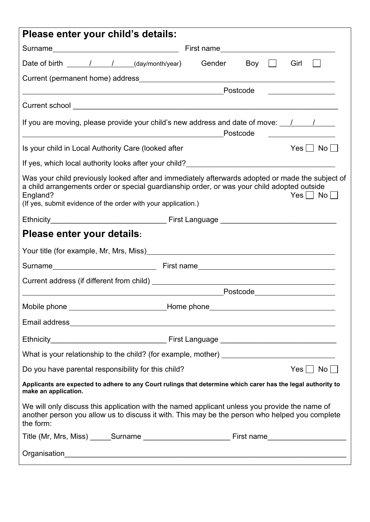| Please enter your child's details:                                                                                                                                                                                                                                                                      |  |
|---------------------------------------------------------------------------------------------------------------------------------------------------------------------------------------------------------------------------------------------------------------------------------------------------------|--|
|                                                                                                                                                                                                                                                                                                         |  |
| Date of birth ______/_____/_____(day/month/year) Gender<br>Boy $\Box$<br>Girl                                                                                                                                                                                                                           |  |
|                                                                                                                                                                                                                                                                                                         |  |
| Postcode                                                                                                                                                                                                                                                                                                |  |
|                                                                                                                                                                                                                                                                                                         |  |
| If you are moving, please provide your child's new address and date of move: $\frac{1}{\sqrt{2}}$<br>Postcode<br><u> 1980 - Johann Barn, mars ann an t-Amhain Aonaichte ann an t-Amhain Aonaichte ann an t-Amhain Aonaichte ann an</u>                                                                  |  |
| Is your child in Local Authority Care (looked after<br>$\mathsf{No} \,   \_{}$<br>$Yes$                                                                                                                                                                                                                 |  |
| If yes, which local authority looks after your child?___________________________                                                                                                                                                                                                                        |  |
| Was your child previously looked after and immediately afterwards adopted or made the subject of<br>a child arrangements order or special guardianship order, or was your child adopted outside<br>England?<br>$Yes \mid No \mid \mid$<br>(If yes, submit evidence of the order with your application.) |  |
|                                                                                                                                                                                                                                                                                                         |  |
| Please enter your details:                                                                                                                                                                                                                                                                              |  |
|                                                                                                                                                                                                                                                                                                         |  |
|                                                                                                                                                                                                                                                                                                         |  |
|                                                                                                                                                                                                                                                                                                         |  |
|                                                                                                                                                                                                                                                                                                         |  |
|                                                                                                                                                                                                                                                                                                         |  |
|                                                                                                                                                                                                                                                                                                         |  |
|                                                                                                                                                                                                                                                                                                         |  |
| What is your relationship to the child? (for example, mother) ___________________                                                                                                                                                                                                                       |  |
| Do you have parental responsibility for this child?<br>$Yes \nightharpoonup No \nightharpoonup$                                                                                                                                                                                                         |  |
| Applicants are expected to adhere to any Court rulings that determine which carer has the legal authority to<br>make an application.                                                                                                                                                                    |  |
| We will only discuss this application with the named applicant unless you provide the name of<br>another person you allow us to discuss it with. This may be the person who helped you complete<br>the form:                                                                                            |  |
|                                                                                                                                                                                                                                                                                                         |  |
|                                                                                                                                                                                                                                                                                                         |  |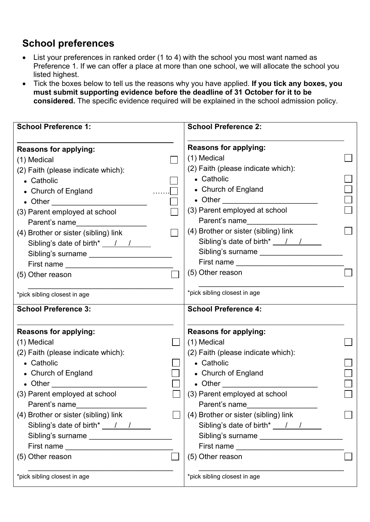## **School preferences**

- List your preferences in ranked order (1 to 4) with the school you most want named as Preference 1. If we can offer a place at more than one school, we will allocate the school you listed highest.
- Tick the boxes below to tell us the reasons why you have applied. **If you tick any boxes, you must submit supporting evidence before the deadline of 31 October for it to be considered.** The specific evidence required will be explained in the school admission policy.

| <b>School Preference 1:</b>                                                                                                                                                                                                                                                                                                                                                                       | <b>School Preference 2:</b>               |
|---------------------------------------------------------------------------------------------------------------------------------------------------------------------------------------------------------------------------------------------------------------------------------------------------------------------------------------------------------------------------------------------------|-------------------------------------------|
|                                                                                                                                                                                                                                                                                                                                                                                                   | <b>Reasons for applying:</b>              |
| <b>Reasons for applying:</b>                                                                                                                                                                                                                                                                                                                                                                      | (1) Medical                               |
| (1) Medical                                                                                                                                                                                                                                                                                                                                                                                       |                                           |
| (2) Faith (please indicate which):                                                                                                                                                                                                                                                                                                                                                                | (2) Faith (please indicate which):        |
| • Catholic                                                                                                                                                                                                                                                                                                                                                                                        | • Catholic                                |
| • Church of England                                                                                                                                                                                                                                                                                                                                                                               | • Church of England                       |
|                                                                                                                                                                                                                                                                                                                                                                                                   |                                           |
| (3) Parent employed at school                                                                                                                                                                                                                                                                                                                                                                     | (3) Parent employed at school             |
| Parent's name                                                                                                                                                                                                                                                                                                                                                                                     | Parent's name                             |
| (4) Brother or sister (sibling) link                                                                                                                                                                                                                                                                                                                                                              | (4) Brother or sister (sibling) link      |
| Sibling's date of birth* $\frac{1}{1-\frac{1}{1-\frac{1}{1-\frac{1}{1-\frac{1}{1-\frac{1}{1-\frac{1}{1-\frac{1}{1-\frac{1}{1-\frac{1}{1-\frac{1}{1-\frac{1}{1-\frac{1}{1-\frac{1}{1-\frac{1}{1-\frac{1}{1-\frac{1}{1-\frac{1}{1-\frac{1}{1-\frac{1}{1-\frac{1}{1-\frac{1}{1-\frac{1}{1-\frac{1}{1-\frac{1}{1-\frac{1}{1-\frac{1}{1-\frac{1}{1-\frac{1}{1-\frac{1}{1-\frac{1}{1-\frac{1}{1-\frac{$ | Sibling's date of birth* ___/___/         |
| Sibling's surname _______________________                                                                                                                                                                                                                                                                                                                                                         | Sibling's surname _______________________ |
|                                                                                                                                                                                                                                                                                                                                                                                                   |                                           |
| (5) Other reason                                                                                                                                                                                                                                                                                                                                                                                  | (5) Other reason                          |
| *pick sibling closest in age                                                                                                                                                                                                                                                                                                                                                                      | *pick sibling closest in age              |
|                                                                                                                                                                                                                                                                                                                                                                                                   |                                           |
| <b>School Preference 3:</b>                                                                                                                                                                                                                                                                                                                                                                       | <b>School Preference 4:</b>               |
| <b>Reasons for applying:</b>                                                                                                                                                                                                                                                                                                                                                                      | <b>Reasons for applying:</b>              |
| (1) Medical                                                                                                                                                                                                                                                                                                                                                                                       | (1) Medical                               |
| (2) Faith (please indicate which):                                                                                                                                                                                                                                                                                                                                                                | (2) Faith (please indicate which):        |
| • Catholic                                                                                                                                                                                                                                                                                                                                                                                        | • Catholic                                |
|                                                                                                                                                                                                                                                                                                                                                                                                   |                                           |
| • Church of England                                                                                                                                                                                                                                                                                                                                                                               | • Church of England                       |
|                                                                                                                                                                                                                                                                                                                                                                                                   | $\bullet$ Other $\bullet$ Other $\bullet$ |
| (3) Parent employed at school                                                                                                                                                                                                                                                                                                                                                                     | (3) Parent employed at school             |
| Parent's name                                                                                                                                                                                                                                                                                                                                                                                     | Parent's name                             |
| (4) Brother or sister (sibling) link                                                                                                                                                                                                                                                                                                                                                              | (4) Brother or sister (sibling) link      |
| Sibling's date of birth* 1/1                                                                                                                                                                                                                                                                                                                                                                      | Sibling's date of birth* 11               |
| Sibling's surname ____________________                                                                                                                                                                                                                                                                                                                                                            | Sibling's surname                         |
| (5) Other reason                                                                                                                                                                                                                                                                                                                                                                                  | (5) Other reason                          |